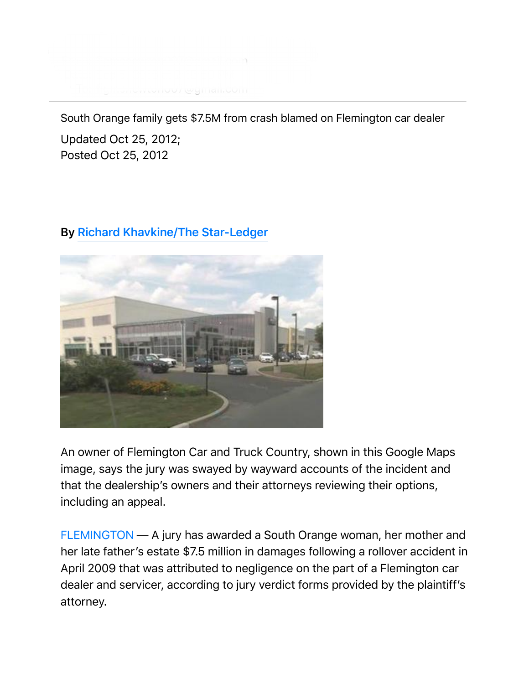

South Orange family gets \$7.5M from crash blamed on Flemington car dealer

Updated Oct 25, 2012; Posted Oct 25, 2012

## **By Richard Khavkine/The Star-Ledger**



An owner of Flemington Car and Truck Country, shown in this Google Maps image, says the jury was swayed by wayward accounts of the incident and that the dealership's owners and their attorneys reviewing their options, including an appeal.

FLEMINGTON — A jury has awarded a South Orange woman, her mother and her late father's estate \$7.5 million in damages following a rollover accident in April 2009 that was attributed to negligence on the part of a Flemington car dealer and servicer, according to jury verdict forms provided by the plaintiff's attorney.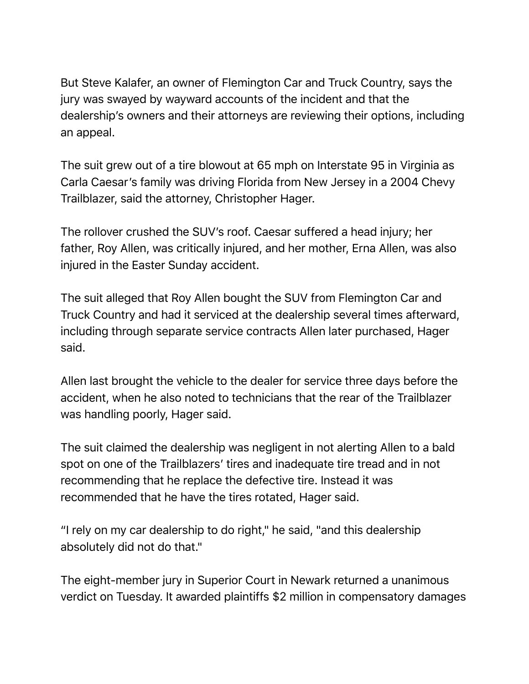But Steve Kalafer, an owner of Flemington Car and Truck Country, says the jury was swayed by wayward accounts of the incident and that the dealership's owners and their attorneys are reviewing their options, including an appeal.

The suit grew out of a tire blowout at 65 mph on Interstate 95 in Virginia as Carla Caesar's family was driving Florida from New Jersey in a 2004 Chevy Trailblazer, said the attorney, Christopher Hager.

The rollover crushed the SUV's roof. Caesar suffered a head injury; her father, Roy Allen, was critically injured, and her mother, Erna Allen, was also injured in the Easter Sunday accident.

The suit alleged that Roy Allen bought the SUV from Flemington Car and Truck Country and had it serviced at the dealership several times afterward, including through separate service contracts Allen later purchased, Hager said.

Allen last brought the vehicle to the dealer for service three days before the accident, when he also noted to technicians that the rear of the Trailblazer was handling poorly, Hager said.

The suit claimed the dealership was negligent in not alerting Allen to a bald spot on one of the Trailblazers' tires and inadequate tire tread and in not recommending that he replace the defective tire. Instead it was recommended that he have the tires rotated, Hager said.

"I rely on my car dealership to do right," he said, "and this dealership absolutely did not do that."

The eight-member jury in Superior Court in Newark returned a unanimous verdict on Tuesday. It awarded plaintiffs \$2 million in compensatory damages